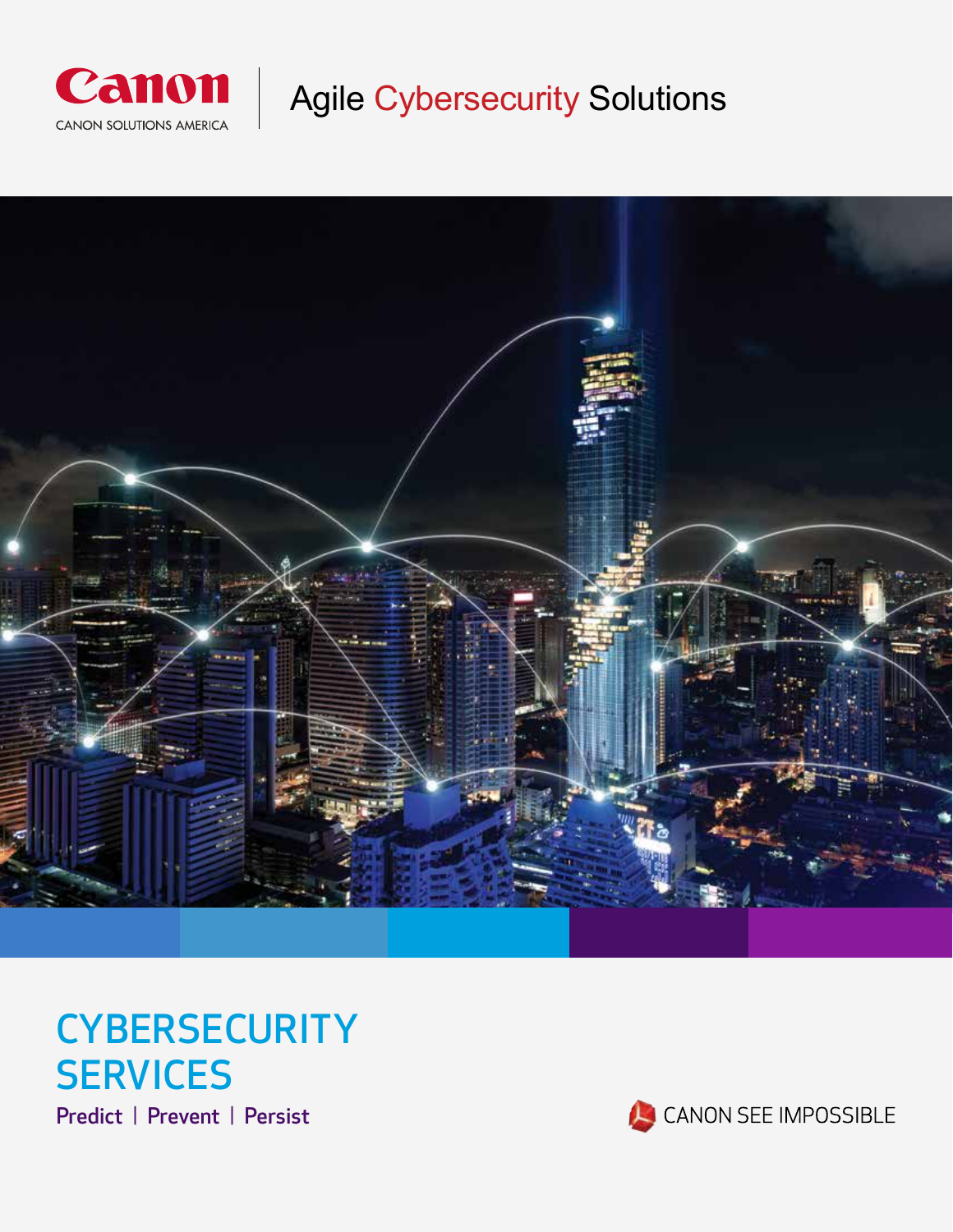

Agile Cybersecurity Solutions



# **CYBERSECURITY SERVICES**

Predict | Prevent | Persist